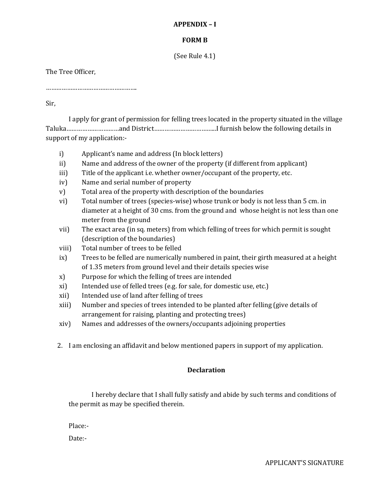## **APPENDIX – I**

# **FORM B**

(See Rule 4.1)

The Tree Officer,

…………………………………………….

Sir,

I apply for grant of permission for felling trees located in the property situated in the village Taluka…………………………and District……………………………...I furnish below the following details in support of my application:-

- i) Applicant's name and address (In block letters)
- ii) Name and address of the owner of the property (if different from applicant)
- iii) Title of the applicant i.e. whether owner/occupant of the property, etc.
- iv) Name and serial number of property
- v) Total area of the property with description of the boundaries
- vi) Total number of trees (species-wise) whose trunk or body is not less than 5 cm. in diameter at a height of 30 cms. from the ground and whose height is not less than one meter from the ground
- vii) The exact area (in sq. meters) from which felling of trees for which permit is sought (description of the boundaries)
- viii) Total number of trees to be felled
- ix) Trees to be felled are numerically numbered in paint, their girth measured at a height of 1.35 meters from ground level and their details species wise
- x) Purpose for which the felling of trees are intended
- xi) Intended use of felled trees (e.g. for sale, for domestic use, etc.)
- xii) Intended use of land after felling of trees
- xiii) Number and species of trees intended to be planted after felling (give details of arrangement for raising, planting and protecting trees)
- xiv) Names and addresses of the owners/occupants adjoining properties
- 2. I am enclosing an affidavit and below mentioned papers in support of my application.

## **Declaration**

I hereby declare that I shall fully satisfy and abide by such terms and conditions of the permit as may be specified therein.

Place:-

Date:-

APPLICANT'S SIGNATURE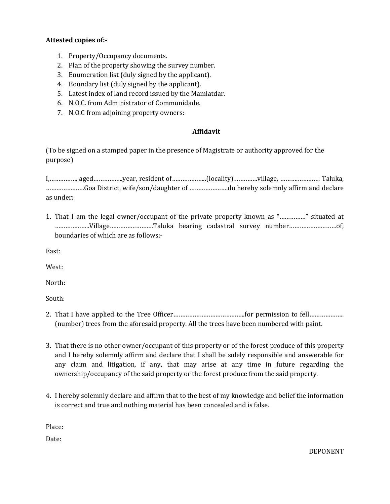#### **Attested copies of:-**

- 1. Property/Occupancy documents.
- 2. Plan of the property showing the survey number.
- 3. Enumeration list (duly signed by the applicant).
- 4. Boundary list (duly signed by the applicant).
- 5. Latest index of land record issued by the Mamlatdar.
- 6. N.O.C. from Administrator of Communidade.
- 7. N.O.C from adjoining property owners:

## **Affidavit**

(To be signed on a stamped paper in the presence of Magistrate or authority approved for the purpose)

I,……………, aged……………..year, resident of………………..(locality).………….village, ……….…………. Taluka, ………………….Goa District, wife/son/daughter of ………………….do hereby solemnly affirm and declare as under:

1. That I am the legal owner/occupant of the private property known as "……………" situated at ………………..Village…………………….Taluka bearing cadastral survey number………………………of, boundaries of which are as follows:-

East:

West:

North:

South:

- 2. That I have applied to the Tree Officer…………………………………..for permission to fell……………….. (number) trees from the aforesaid property. All the trees have been numbered with paint.
- 3. That there is no other owner/occupant of this property or of the forest produce of this property and I hereby solemnly affirm and declare that I shall be solely responsible and answerable for any claim and litigation, if any, that may arise at any time in future regarding the ownership/occupancy of the said property or the forest produce from the said property.
- 4. I hereby solemnly declare and affirm that to the best of my knowledge and belief the information is correct and true and nothing material has been concealed and is false.

Place:

Date: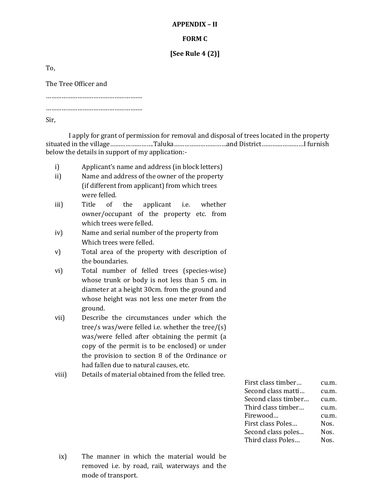# **APPENDIX – II**

#### **FORM C**

## **[See Rule 4 (2)]**

To,

The Tree Officer and

……………………………………………….

……………………………………………….

Sir,

I apply for grant of permission for removal and disposal of trees located in the property situated in the village…………………….Taluka…………………………and District……………………I furnish below the details in support of my application:-

- i) Applicant's name and address (in block letters)
- ii) Name and address of the owner of the property (if different from applicant) from which trees were felled.
- iii) Title of the applicant i.e. whether owner/occupant of the property etc. from which trees were felled.
- iv) Name and serial number of the property from Which trees were felled.
- v) Total area of the property with description of the boundaries.
- vi) Total number of felled trees (species-wise) whose trunk or body is not less than 5 cm. in diameter at a height 30cm. from the ground and whose height was not less one meter from the ground.
- vii) Describe the circumstances under which the tree/s was/were felled i.e. whether the tree/(s) was/were felled after obtaining the permit (a copy of the permit is to be enclosed) or under the provision to section 8 of the Ordinance or had fallen due to natural causes, etc.
- viii) Details of material obtained from the felled tree.

| First class timber  | cu.m. |
|---------------------|-------|
| Second class matti  | cu.m. |
| Second class timber | cu.m. |
| Third class timber  | cu.m. |
| Firewood            | cu.m. |
| First class Poles   | Nos.  |
| Second class poles  | Nos.  |
| Third class Poles   | Nos.  |
|                     |       |

ix) The manner in which the material would be removed i.e. by road, rail, waterways and the mode of transport.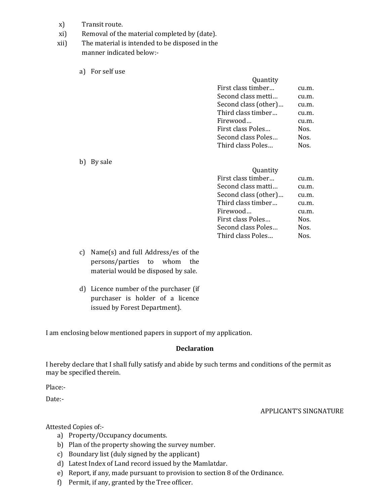- x) Transit route.
- xi) Removal of the material completed by (date).
- xii) The material is intended to be disposed in the manner indicated below:
	- a) For self use

| Quantity             |          |
|----------------------|----------|
| First class timber   | cu.m.    |
| Second class metti   | cu.m.    |
| Second class (other) | $c$ u.m. |
| Third class timber   | cu.m.    |
| Firewood             | cu.m.    |
| First class Poles    | Nos.     |
| Second class Poles   | Nos.     |
| Third class Poles    | Nos      |

b) By sale

| Quantity             |       |
|----------------------|-------|
| First class timber   | cu.m. |
| Second class matti   | cu.m. |
| Second class (other) | cu.m. |
| Third class timber   | cu.m. |
| Firewood             | cu.m. |
| First class Poles    | Nos.  |
| Second class Poles   | Nos.  |
| Third class Poles    | Nos.  |

- c) Name(s) and full Address/es of the persons/parties to whom the material would be disposed by sale.
- d) Licence number of the purchaser (if purchaser is holder of a licence issued by Forest Department).

I am enclosing below mentioned papers in support of my application.

#### **Declaration**

I hereby declare that I shall fully satisfy and abide by such terms and conditions of the permit as may be specified therein.

Place:-

Date:-

#### APPLICANT'S SINGNATURE

Attested Copies of:-

- a) Property/Occupancy documents.
- b) Plan of the property showing the survey number.
- c) Boundary list (duly signed by the applicant)
- d) Latest Index of Land record issued by the Mamlatdar.
- e) Report, if any, made pursuant to provision to section 8 of the Ordinance.
- f) Permit, if any, granted by the Tree officer.